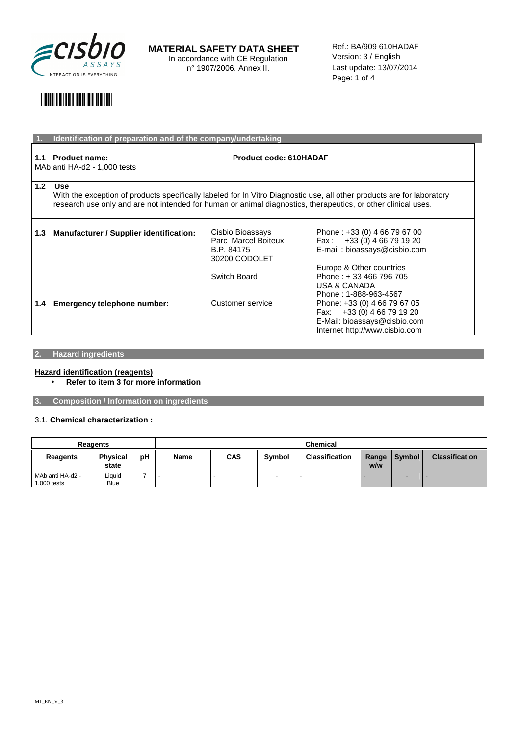

**MATERIAL SAFETY DATA SHEET**  In accordance with CE Regulation

n° 1907/2006. Annex II.

Ref.: BA/909 610HADAF Version: 3 / English Last update: 13/07/2014 Page: 1 of 4

## \*10787\*

|                  | Identification of preparation and of the company/undertaking                                                                                                                                                                                   |                                                                        |                                                                                                                                 |  |  |  |
|------------------|------------------------------------------------------------------------------------------------------------------------------------------------------------------------------------------------------------------------------------------------|------------------------------------------------------------------------|---------------------------------------------------------------------------------------------------------------------------------|--|--|--|
| 1.1              | <b>Product name:</b><br><b>Product code: 610HADAF</b><br>MAb anti HA-d2 - 1,000 tests                                                                                                                                                          |                                                                        |                                                                                                                                 |  |  |  |
| 1.2 <sub>1</sub> | Use<br>With the exception of products specifically labeled for In Vitro Diagnostic use, all other products are for laboratory<br>research use only and are not intended for human or animal diagnostics, therapeutics, or other clinical uses. |                                                                        |                                                                                                                                 |  |  |  |
| 1.3              | Manufacturer / Supplier identification:                                                                                                                                                                                                        | Cisbio Bioassays<br>Parc Marcel Boiteux<br>B.P. 84175<br>30200 CODOLET | Phone: +33 (0) 4 66 79 67 00<br>Fax: $+33(0)$ 4 66 79 19 20<br>E-mail: bioassays@cisbio.com<br>Europe & Other countries         |  |  |  |
|                  |                                                                                                                                                                                                                                                | Switch Board                                                           | Phone: +33 466 796 705<br>USA & CANADA<br>Phone: 1-888-963-4567                                                                 |  |  |  |
| 1.4              | Emergency telephone number:                                                                                                                                                                                                                    | Customer service                                                       | Phone: +33 (0) 4 66 79 67 05<br>+33 (0) 4 66 79 19 20<br>Fax:<br>E-Mail: bioassays@cisbio.com<br>Internet http://www.cisbio.com |  |  |  |

### **2. Hazard ingredients**

#### **Hazard identification (reagents)**

### • **Refer to item 3 for more information**

**3. Composition / Information on ingredients** 

#### 3.1. **Chemical characterization :**

| <b>Reagents</b>                 |                          |    | <b>Chemical</b> |     |               |                       |              |               |                       |
|---------------------------------|--------------------------|----|-----------------|-----|---------------|-----------------------|--------------|---------------|-----------------------|
| <b>Reagents</b>                 | <b>Physical</b><br>state | рH | Name            | CAS | <b>Symbol</b> | <b>Classification</b> | Range<br>w/w | <b>Symbol</b> | <b>Classification</b> |
| MAb anti HA-d2 -<br>1.000 tests | Liquid<br><b>Blue</b>    |    |                 |     |               |                       |              |               |                       |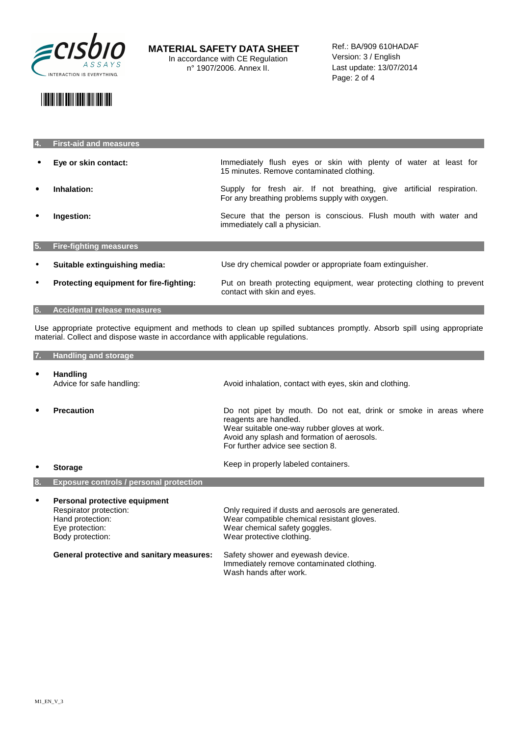

Ref.: BA/909 610HADAF Version: 3 / English Last update: 13/07/2014 Page: 2 of 4

### \*10787\*

| <b>4.</b> | <b>First-aid and measures</b>           |                                                                                                                        |
|-----------|-----------------------------------------|------------------------------------------------------------------------------------------------------------------------|
|           | Eye or skin contact:                    | Immediately flush eyes or skin with plenty of water at least for<br>15 minutes. Remove contaminated clothing.          |
|           | Inhalation:                             | Supply for fresh air. If not breathing, give artificial respiration.<br>For any breathing problems supply with oxygen. |
| ٠         | Ingestion:                              | Secure that the person is conscious. Flush mouth with water and<br>immediately call a physician.                       |
| 5.        | <b>Fire-fighting measures</b>           |                                                                                                                        |
| $\bullet$ | Suitable extinguishing media:           | Use dry chemical powder or appropriate foam extinguisher.                                                              |
| ٠         | Protecting equipment for fire-fighting: | Put on breath protecting equipment, wear protecting clothing to prevent<br>contact with skin and eyes.                 |
| <b>6.</b> | <b>Accidental release measures</b>      |                                                                                                                        |

Use appropriate protective equipment and methods to clean up spilled subtances promptly. Absorb spill using appropriate material. Collect and dispose waste in accordance with applicable regulations.

| 7. | <b>Handling and storage</b>                                                                                        |                                                                                                                                                                                                                               |
|----|--------------------------------------------------------------------------------------------------------------------|-------------------------------------------------------------------------------------------------------------------------------------------------------------------------------------------------------------------------------|
|    | <b>Handling</b><br>Advice for safe handling:                                                                       | Avoid inhalation, contact with eyes, skin and clothing.                                                                                                                                                                       |
|    | <b>Precaution</b>                                                                                                  | Do not pipet by mouth. Do not eat, drink or smoke in areas where<br>reagents are handled.<br>Wear suitable one-way rubber gloves at work.<br>Avoid any splash and formation of aerosols.<br>For further advice see section 8. |
|    | <b>Storage</b>                                                                                                     | Keep in properly labeled containers.                                                                                                                                                                                          |
| 8. | <b>Exposure controls / personal protection</b>                                                                     |                                                                                                                                                                                                                               |
|    | Personal protective equipment<br>Respirator protection:<br>Hand protection:<br>Eye protection:<br>Body protection: | Only required if dusts and aerosols are generated.<br>Wear compatible chemical resistant gloves.<br>Wear chemical safety goggles.<br>Wear protective clothing.                                                                |
|    | General protective and sanitary measures:                                                                          | Safety shower and eyewash device.<br>Immediately remove contaminated clothing.<br>Wash hands after work.                                                                                                                      |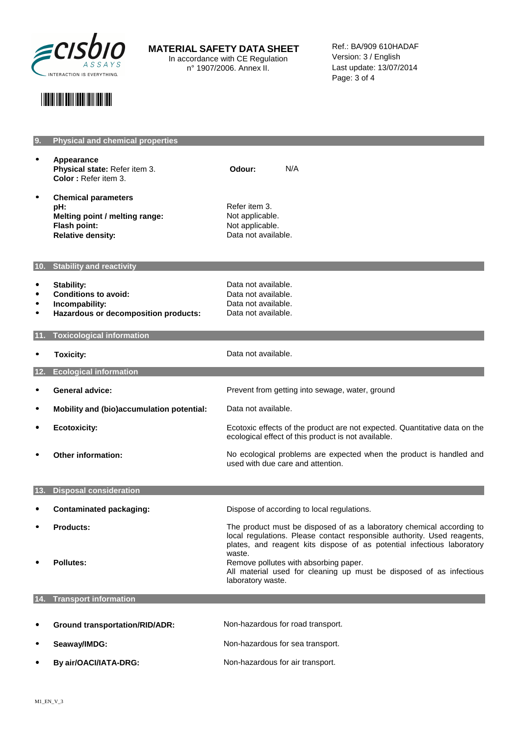

**MATERIAL SAFETY DATA SHEET**  In accordance with CE Regulation

n° 1907/2006. Annex II.

Ref.: BA/909 610HADAF Version: 3 / English Last update: 13/07/2014 Page: 3 of 4

# \*10787\*

|     | <b>Physical and chemical properties</b>                                                                         |                                                                                                                                                                                                                                      |  |
|-----|-----------------------------------------------------------------------------------------------------------------|--------------------------------------------------------------------------------------------------------------------------------------------------------------------------------------------------------------------------------------|--|
|     | Appearance<br>Physical state: Refer item 3.<br>Color: Refer item 3.                                             | N/A<br>Odour:                                                                                                                                                                                                                        |  |
|     | <b>Chemical parameters</b><br>pH:<br>Melting point / melting range:<br>Flash point:<br><b>Relative density:</b> | Refer item 3.<br>Not applicable.<br>Not applicable.<br>Data not available.                                                                                                                                                           |  |
| 10. | <b>Stability and reactivity</b>                                                                                 |                                                                                                                                                                                                                                      |  |
| ٠   | <b>Stability:</b><br><b>Conditions to avoid:</b><br>Incompability:<br>Hazardous or decomposition products:      | Data not available.<br>Data not available.<br>Data not available.<br>Data not available.                                                                                                                                             |  |
|     | <b>Toxicological information</b>                                                                                |                                                                                                                                                                                                                                      |  |
|     | <b>Toxicity:</b>                                                                                                | Data not available.                                                                                                                                                                                                                  |  |
| 12. | <b>Ecological information</b>                                                                                   |                                                                                                                                                                                                                                      |  |
|     | <b>General advice:</b>                                                                                          | Prevent from getting into sewage, water, ground                                                                                                                                                                                      |  |
|     | Mobility and (bio)accumulation potential:                                                                       | Data not available.                                                                                                                                                                                                                  |  |
|     | <b>Ecotoxicity:</b>                                                                                             | Ecotoxic effects of the product are not expected. Quantitative data on the<br>ecological effect of this product is not available.                                                                                                    |  |
|     | Other information:                                                                                              | No ecological problems are expected when the product is handled and<br>used with due care and attention.                                                                                                                             |  |
|     | <b>Disposal consideration</b>                                                                                   |                                                                                                                                                                                                                                      |  |
|     | <b>Contaminated packaging:</b>                                                                                  | Dispose of according to local regulations.                                                                                                                                                                                           |  |
|     | <b>Products:</b>                                                                                                | The product must be disposed of as a laboratory chemical according to<br>local regulations. Please contact responsible authority. Used reagents,<br>plates, and reagent kits dispose of as potential infectious laboratory<br>waste. |  |
|     | <b>Pollutes:</b>                                                                                                | Remove pollutes with absorbing paper.<br>All material used for cleaning up must be disposed of as infectious<br>laboratory waste.                                                                                                    |  |
| 14. | <b>Transport information</b>                                                                                    |                                                                                                                                                                                                                                      |  |
|     | <b>Ground transportation/RID/ADR:</b>                                                                           | Non-hazardous for road transport.                                                                                                                                                                                                    |  |
|     | Seaway/IMDG:                                                                                                    | Non-hazardous for sea transport.                                                                                                                                                                                                     |  |

• **By air/OACI/IATA-DRG:** Non-hazardous for air transport.